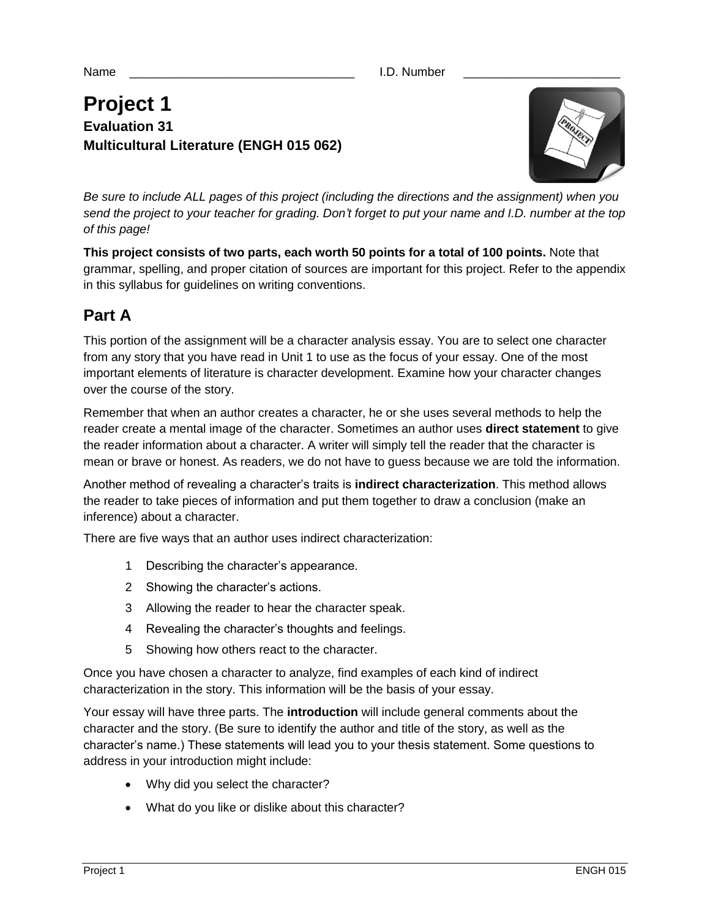Name **Name Name Name Name Name Name Name Name Name NAME N** 

# **Project 1 Evaluation 31 Multicultural Literature (ENGH 015 062)**



*Be sure to include ALL pages of this project (including the directions and the assignment) when you send the project to your teacher for grading. Don't forget to put your name and I.D. number at the top of this page!*

**This project consists of two parts, each worth 50 points for a total of 100 points.** Note that grammar, spelling, and proper citation of sources are important for this project. Refer to the appendix in this syllabus for guidelines on writing conventions.

# **Part A**

This portion of the assignment will be a character analysis essay. You are to select one character from any story that you have read in Unit 1 to use as the focus of your essay. One of the most important elements of literature is character development. Examine how your character changes over the course of the story.

Remember that when an author creates a character, he or she uses several methods to help the reader create a mental image of the character. Sometimes an author uses **direct statement** to give the reader information about a character. A writer will simply tell the reader that the character is mean or brave or honest. As readers, we do not have to guess because we are told the information.

Another method of revealing a character's traits is **indirect characterization**. This method allows the reader to take pieces of information and put them together to draw a conclusion (make an inference) about a character.

There are five ways that an author uses indirect characterization:

- 1 Describing the character's appearance.
- 2 Showing the character's actions.
- 3 Allowing the reader to hear the character speak.
- 4 Revealing the character's thoughts and feelings.
- 5 Showing how others react to the character.

Once you have chosen a character to analyze, find examples of each kind of indirect characterization in the story. This information will be the basis of your essay.

Your essay will have three parts. The **introduction** will include general comments about the character and the story. (Be sure to identify the author and title of the story, as well as the character's name.) These statements will lead you to your thesis statement. Some questions to address in your introduction might include:

- Why did you select the character?
- What do you like or dislike about this character?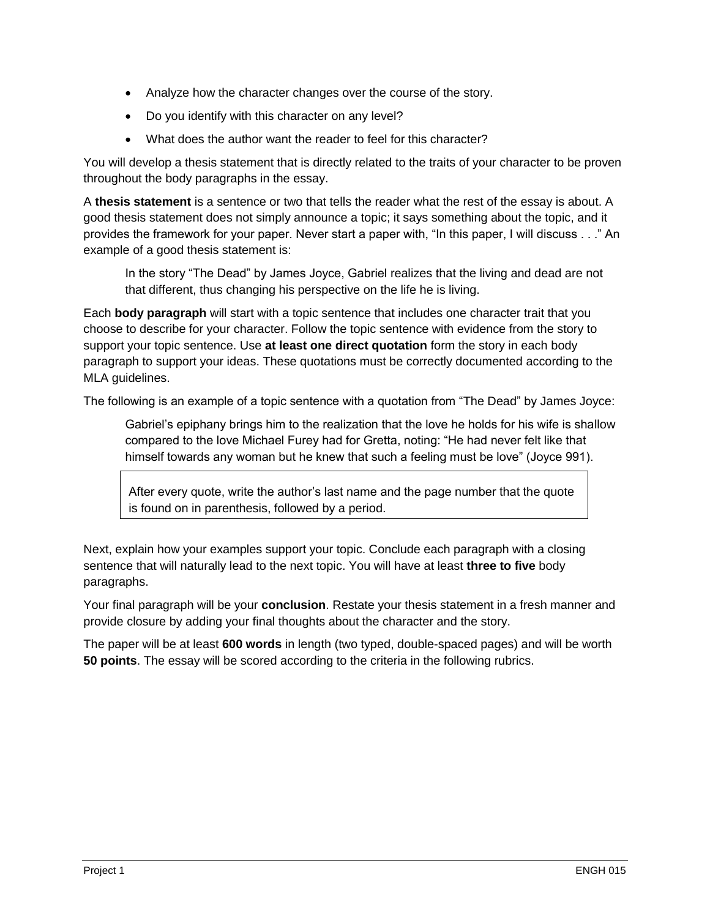- Analyze how the character changes over the course of the story.
- Do you identify with this character on any level?
- What does the author want the reader to feel for this character?

You will develop a thesis statement that is directly related to the traits of your character to be proven throughout the body paragraphs in the essay.

A **thesis statement** is a sentence or two that tells the reader what the rest of the essay is about. A good thesis statement does not simply announce a topic; it says something about the topic, and it provides the framework for your paper. Never start a paper with, "In this paper, I will discuss . . ." An example of a good thesis statement is:

In the story "The Dead" by James Joyce, Gabriel realizes that the living and dead are not that different, thus changing his perspective on the life he is living.

Each **body paragraph** will start with a topic sentence that includes one character trait that you choose to describe for your character. Follow the topic sentence with evidence from the story to support your topic sentence. Use **at least one direct quotation** form the story in each body paragraph to support your ideas. These quotations must be correctly documented according to the MLA guidelines.

The following is an example of a topic sentence with a quotation from "The Dead" by James Joyce:

Gabriel's epiphany brings him to the realization that the love he holds for his wife is shallow compared to the love Michael Furey had for Gretta, noting: "He had never felt like that himself towards any woman but he knew that such a feeling must be love" (Joyce 991).

After every quote, write the author's last name and the page number that the quote is found on in parenthesis, followed by a period.

Next, explain how your examples support your topic. Conclude each paragraph with a closing sentence that will naturally lead to the next topic. You will have at least **three to five** body paragraphs.

Your final paragraph will be your **conclusion**. Restate your thesis statement in a fresh manner and provide closure by adding your final thoughts about the character and the story.

The paper will be at least **600 words** in length (two typed, double-spaced pages) and will be worth **50 points**. The essay will be scored according to the criteria in the following rubrics.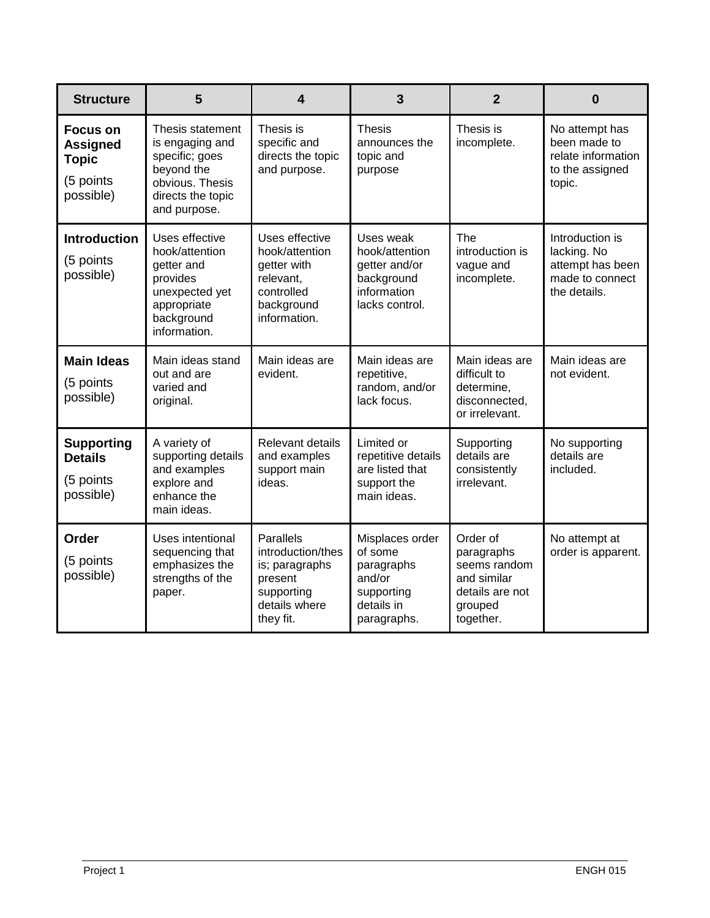| <b>Structure</b>                                                             | 5                                                                                                                           | 4                                                                                                              | 3                                                                                             | $\overline{2}$                                                                                   | $\bf{0}$                                                                              |
|------------------------------------------------------------------------------|-----------------------------------------------------------------------------------------------------------------------------|----------------------------------------------------------------------------------------------------------------|-----------------------------------------------------------------------------------------------|--------------------------------------------------------------------------------------------------|---------------------------------------------------------------------------------------|
| <b>Focus on</b><br><b>Assigned</b><br><b>Topic</b><br>(5 points<br>possible) | Thesis statement<br>is engaging and<br>specific; goes<br>beyond the<br>obvious. Thesis<br>directs the topic<br>and purpose. | Thesis is<br>specific and<br>directs the topic<br>and purpose.                                                 | <b>Thesis</b><br>announces the<br>topic and<br>purpose                                        | Thesis is<br>incomplete.                                                                         | No attempt has<br>been made to<br>relate information<br>to the assigned<br>topic.     |
| <b>Introduction</b><br>(5 points<br>possible)                                | Uses effective<br>hook/attention<br>getter and<br>provides<br>unexpected yet<br>appropriate<br>background<br>information.   | Uses effective<br>hook/attention<br>getter with<br>relevant,<br>controlled<br>background<br>information.       | Uses weak<br>hook/attention<br>getter and/or<br>background<br>information<br>lacks control.   | The<br>introduction is<br>vague and<br>incomplete.                                               | Introduction is<br>lacking. No<br>attempt has been<br>made to connect<br>the details. |
| <b>Main Ideas</b><br>(5 points<br>possible)                                  | Main ideas stand<br>out and are<br>varied and<br>original.                                                                  | Main ideas are<br>evident.                                                                                     | Main ideas are<br>repetitive,<br>random, and/or<br>lack focus.                                | Main ideas are<br>difficult to<br>determine,<br>disconnected,<br>or irrelevant.                  | Main ideas are<br>not evident.                                                        |
| <b>Supporting</b><br><b>Details</b><br>(5 points<br>possible)                | A variety of<br>supporting details<br>and examples<br>explore and<br>enhance the<br>main ideas.                             | Relevant details<br>and examples<br>support main<br>ideas.                                                     | Limited or<br>repetitive details<br>are listed that<br>support the<br>main ideas.             | Supporting<br>details are<br>consistently<br>irrelevant.                                         | No supporting<br>details are<br>included.                                             |
| <b>Order</b><br>(5 points<br>possible)                                       | Uses intentional<br>sequencing that<br>emphasizes the<br>strengths of the<br>paper.                                         | <b>Parallels</b><br>introduction/thes<br>is; paragraphs<br>present<br>supporting<br>details where<br>they fit. | Misplaces order<br>of some<br>paragraphs<br>and/or<br>supporting<br>details in<br>paragraphs. | Order of<br>paragraphs<br>seems random<br>and similar<br>details are not<br>grouped<br>together. | No attempt at<br>order is apparent.                                                   |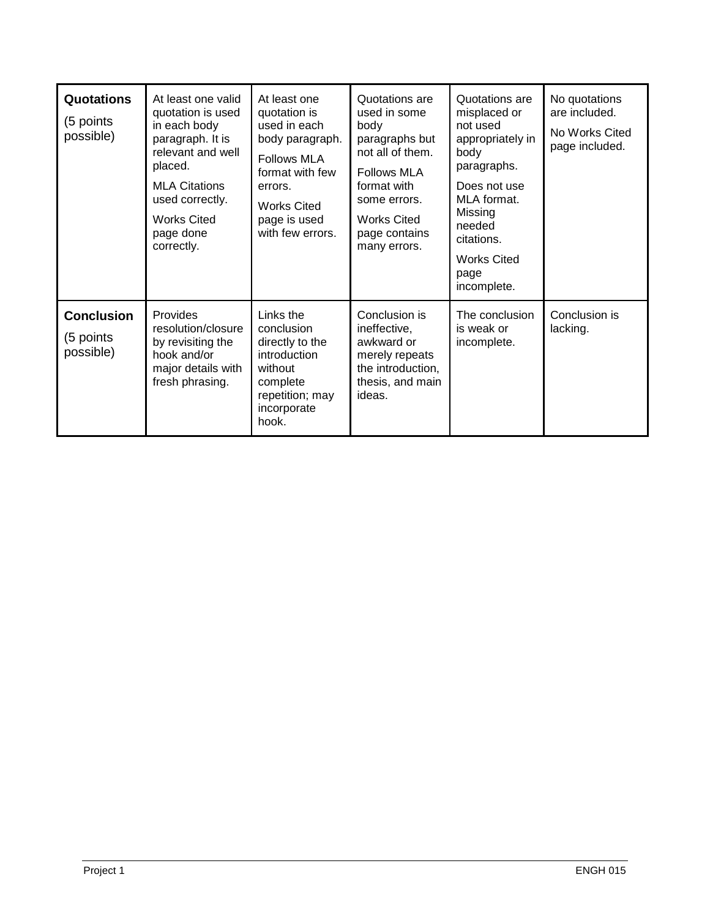| <b>Quotations</b><br>(5 points<br>possible) | At least one valid<br>quotation is used<br>in each body<br>paragraph. It is<br>relevant and well<br>placed.<br><b>MLA Citations</b><br>used correctly.<br><b>Works Cited</b><br>page done<br>correctly. | At least one<br>quotation is<br>used in each<br>body paragraph.<br><b>Follows MLA</b><br>format with few<br>errors.<br><b>Works Cited</b><br>page is used<br>with few errors. | Quotations are<br>used in some<br>body<br>paragraphs but<br>not all of them.<br><b>Follows MLA</b><br>format with<br>some errors.<br><b>Works Cited</b><br>page contains<br>many errors. | Quotations are<br>misplaced or<br>not used<br>appropriately in<br>body<br>paragraphs.<br>Does not use<br>MLA format.<br>Missing<br>needed<br>citations.<br><b>Works Cited</b><br>page<br>incomplete. | No quotations<br>are included.<br>No Works Cited<br>page included. |
|---------------------------------------------|---------------------------------------------------------------------------------------------------------------------------------------------------------------------------------------------------------|-------------------------------------------------------------------------------------------------------------------------------------------------------------------------------|------------------------------------------------------------------------------------------------------------------------------------------------------------------------------------------|------------------------------------------------------------------------------------------------------------------------------------------------------------------------------------------------------|--------------------------------------------------------------------|
| <b>Conclusion</b><br>(5 points<br>possible) | Provides<br>resolution/closure<br>by revisiting the<br>hook and/or<br>major details with<br>fresh phrasing.                                                                                             | Links the<br>conclusion<br>directly to the<br>introduction<br>without<br>complete<br>repetition; may<br>incorporate<br>hook.                                                  | Conclusion is<br>ineffective,<br>awkward or<br>merely repeats<br>the introduction,<br>thesis, and main<br>ideas.                                                                         | The conclusion<br>is weak or<br>incomplete.                                                                                                                                                          | Conclusion is<br>lacking.                                          |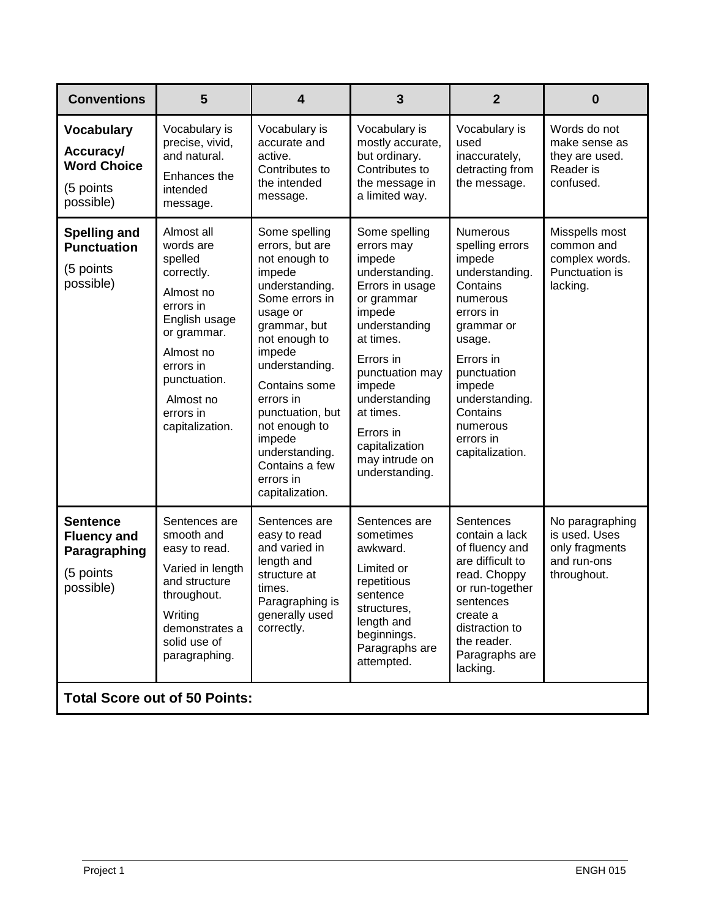| <b>Conventions</b>                                                              | 5                                                                                                                                                                                                 | 4                                                                                                                                                                                                                                                                                                                         | 3                                                                                                                                                                                                                                                                           | $\boldsymbol{2}$                                                                                                                                                                                                                            | 0                                                                                |  |
|---------------------------------------------------------------------------------|---------------------------------------------------------------------------------------------------------------------------------------------------------------------------------------------------|---------------------------------------------------------------------------------------------------------------------------------------------------------------------------------------------------------------------------------------------------------------------------------------------------------------------------|-----------------------------------------------------------------------------------------------------------------------------------------------------------------------------------------------------------------------------------------------------------------------------|---------------------------------------------------------------------------------------------------------------------------------------------------------------------------------------------------------------------------------------------|----------------------------------------------------------------------------------|--|
| <b>Vocabulary</b><br>Accuracy/<br><b>Word Choice</b><br>(5 points<br>possible)  | Vocabulary is<br>precise, vivid,<br>and natural.<br>Enhances the<br>intended<br>message.                                                                                                          | Vocabulary is<br>accurate and<br>active.<br>Contributes to<br>the intended<br>message.                                                                                                                                                                                                                                    | Vocabulary is<br>mostly accurate,<br>but ordinary.<br>Contributes to<br>the message in<br>a limited way.                                                                                                                                                                    | Vocabulary is<br>used<br>inaccurately,<br>detracting from<br>the message.                                                                                                                                                                   | Words do not<br>make sense as<br>they are used.<br>Reader is<br>confused.        |  |
| <b>Spelling and</b><br><b>Punctuation</b><br>(5 points<br>possible)             | Almost all<br>words are<br>spelled<br>correctly.<br>Almost no<br>errors in<br>English usage<br>or grammar.<br>Almost no<br>errors in<br>punctuation.<br>Almost no<br>errors in<br>capitalization. | Some spelling<br>errors, but are<br>not enough to<br>impede<br>understanding.<br>Some errors in<br>usage or<br>grammar, but<br>not enough to<br>impede<br>understanding.<br>Contains some<br>errors in<br>punctuation, but<br>not enough to<br>impede<br>understanding.<br>Contains a few<br>errors in<br>capitalization. | Some spelling<br>errors may<br>impede<br>understanding.<br>Errors in usage<br>or grammar<br>impede<br>understanding<br>at times.<br>Errors in<br>punctuation may<br>impede<br>understanding<br>at times.<br>Errors in<br>capitalization<br>may intrude on<br>understanding. | <b>Numerous</b><br>spelling errors<br>impede<br>understanding.<br>Contains<br>numerous<br>errors in<br>grammar or<br>usage.<br>Errors in<br>punctuation<br>impede<br>understanding.<br>Contains<br>numerous<br>errors in<br>capitalization. | Misspells most<br>common and<br>complex words.<br>Punctuation is<br>lacking.     |  |
| <b>Sentence</b><br><b>Fluency and</b><br>Paragraphing<br>(5 points<br>possible) | Sentences are<br>smooth and<br>easy to read.<br>Varied in length<br>and structure<br>throughout.<br>Writing<br>demonstrates a<br>solid use of<br>paragraphing.                                    | Sentences are<br>easy to read<br>and varied in<br>length and<br>structure at<br>times.<br>Paragraphing is<br>generally used<br>correctly.                                                                                                                                                                                 | Sentences are<br>sometimes<br>awkward.<br>Limited or<br>repetitious<br>sentence<br>structures,<br>length and<br>beginnings.<br>Paragraphs are<br>attempted.                                                                                                                 | Sentences<br>contain a lack<br>of fluency and<br>are difficult to<br>read. Choppy<br>or run-together<br>sentences<br>create a<br>distraction to<br>the reader.<br>Paragraphs are<br>lacking.                                                | No paragraphing<br>is used. Uses<br>only fragments<br>and run-ons<br>throughout. |  |
| <b>Total Score out of 50 Points:</b>                                            |                                                                                                                                                                                                   |                                                                                                                                                                                                                                                                                                                           |                                                                                                                                                                                                                                                                             |                                                                                                                                                                                                                                             |                                                                                  |  |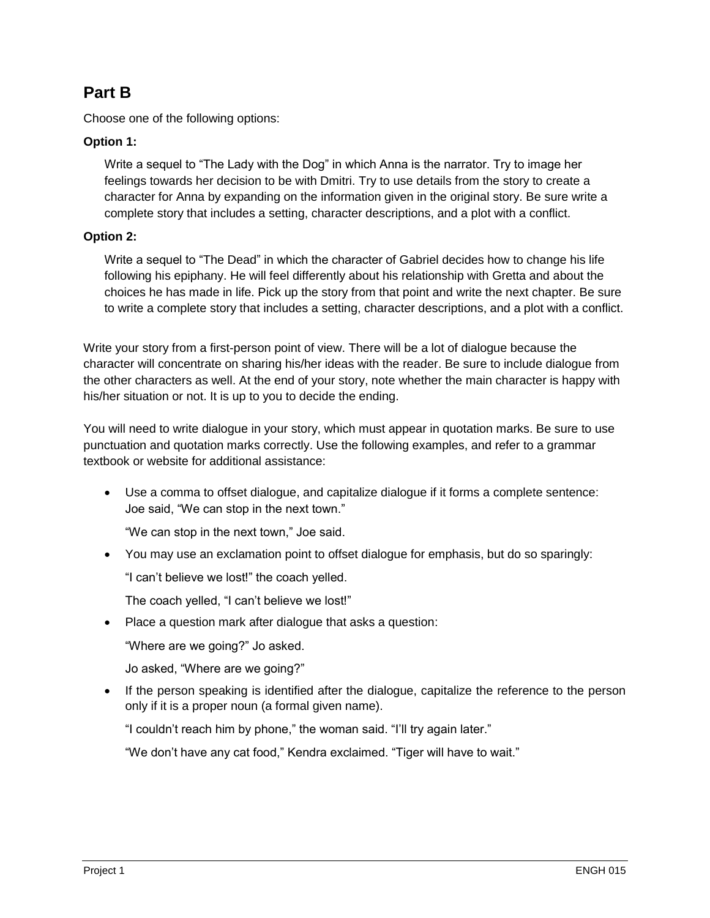### **Part B**

Choose one of the following options:

#### **Option 1:**

Write a sequel to "The Lady with the Dog" in which Anna is the narrator. Try to image her feelings towards her decision to be with Dmitri. Try to use details from the story to create a character for Anna by expanding on the information given in the original story. Be sure write a complete story that includes a setting, character descriptions, and a plot with a conflict.

#### **Option 2:**

Write a sequel to "The Dead" in which the character of Gabriel decides how to change his life following his epiphany. He will feel differently about his relationship with Gretta and about the choices he has made in life. Pick up the story from that point and write the next chapter. Be sure to write a complete story that includes a setting, character descriptions, and a plot with a conflict.

Write your story from a first-person point of view. There will be a lot of dialogue because the character will concentrate on sharing his/her ideas with the reader. Be sure to include dialogue from the other characters as well. At the end of your story, note whether the main character is happy with his/her situation or not. It is up to you to decide the ending.

You will need to write dialogue in your story, which must appear in quotation marks. Be sure to use punctuation and quotation marks correctly. Use the following examples, and refer to a grammar textbook or website for additional assistance:

 Use a comma to offset dialogue, and capitalize dialogue if it forms a complete sentence: Joe said, "We can stop in the next town."

"We can stop in the next town," Joe said.

You may use an exclamation point to offset dialogue for emphasis, but do so sparingly:

"I can't believe we lost!" the coach yelled.

The coach yelled, "I can't believe we lost!"

• Place a question mark after dialogue that asks a question:

"Where are we going?" Jo asked.

Jo asked, "Where are we going?"

• If the person speaking is identified after the dialogue, capitalize the reference to the person only if it is a proper noun (a formal given name).

"I couldn't reach him by phone," the woman said. "I'll try again later."

"We don't have any cat food," Kendra exclaimed. "Tiger will have to wait."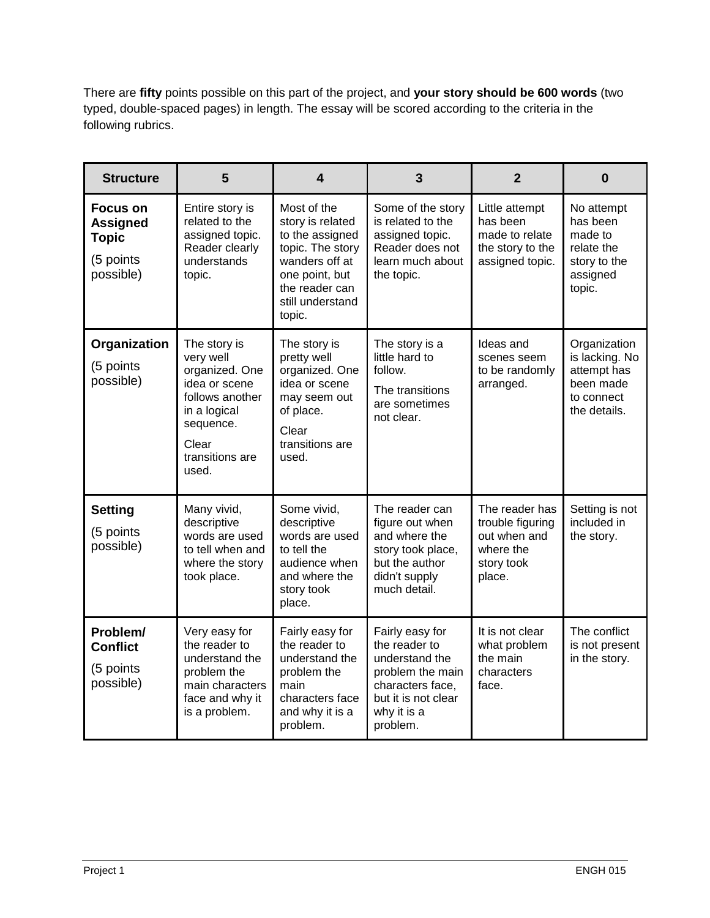There are **fifty** points possible on this part of the project, and **your story should be 600 words** (two typed, double-spaced pages) in length. The essay will be scored according to the criteria in the following rubrics.

| <b>Structure</b>                                                             | 5                                                                                                                                                 | 4                                                                                                                                                          | 3                                                                                                                                            | $\overline{2}$                                                                          | $\bf{0}$                                                                                 |
|------------------------------------------------------------------------------|---------------------------------------------------------------------------------------------------------------------------------------------------|------------------------------------------------------------------------------------------------------------------------------------------------------------|----------------------------------------------------------------------------------------------------------------------------------------------|-----------------------------------------------------------------------------------------|------------------------------------------------------------------------------------------|
| <b>Focus on</b><br><b>Assigned</b><br><b>Topic</b><br>(5 points<br>possible) | Entire story is<br>related to the<br>assigned topic.<br>Reader clearly<br>understands<br>topic.                                                   | Most of the<br>story is related<br>to the assigned<br>topic. The story<br>wanders off at<br>one point, but<br>the reader can<br>still understand<br>topic. | Some of the story<br>is related to the<br>assigned topic.<br>Reader does not<br>learn much about<br>the topic.                               | Little attempt<br>has been<br>made to relate<br>the story to the<br>assigned topic.     | No attempt<br>has been<br>made to<br>relate the<br>story to the<br>assigned<br>topic.    |
| Organization<br>(5 points<br>possible)                                       | The story is<br>very well<br>organized. One<br>idea or scene<br>follows another<br>in a logical<br>sequence.<br>Clear<br>transitions are<br>used. | The story is<br>pretty well<br>organized. One<br>idea or scene<br>may seem out<br>of place.<br>Clear<br>transitions are<br>used.                           | The story is a<br>little hard to<br>follow.<br>The transitions<br>are sometimes<br>not clear.                                                | Ideas and<br>scenes seem<br>to be randomly<br>arranged.                                 | Organization<br>is lacking. No<br>attempt has<br>been made<br>to connect<br>the details. |
| <b>Setting</b><br>(5 points<br>possible)                                     | Many vivid,<br>descriptive<br>words are used<br>to tell when and<br>where the story<br>took place.                                                | Some vivid,<br>descriptive<br>words are used<br>to tell the<br>audience when<br>and where the<br>story took<br>place.                                      | The reader can<br>figure out when<br>and where the<br>story took place,<br>but the author<br>didn't supply<br>much detail.                   | The reader has<br>trouble figuring<br>out when and<br>where the<br>story took<br>place. | Setting is not<br>included in<br>the story.                                              |
| Problem/<br><b>Conflict</b><br>(5 points<br>possible)                        | Very easy for<br>the reader to<br>understand the<br>problem the<br>main characters<br>face and why it<br>is a problem.                            | Fairly easy for<br>the reader to<br>understand the<br>problem the<br>main<br>characters face<br>and why it is a<br>problem.                                | Fairly easy for<br>the reader to<br>understand the<br>problem the main<br>characters face,<br>but it is not clear<br>why it is a<br>problem. | It is not clear<br>what problem<br>the main<br>characters<br>face.                      | The conflict<br>is not present<br>in the story.                                          |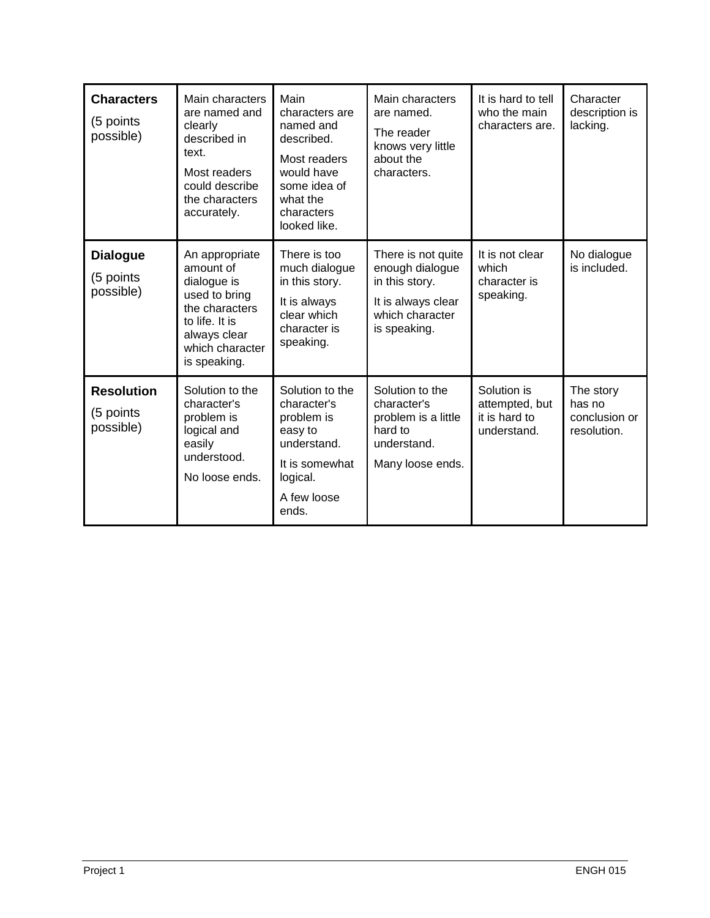| <b>Characters</b><br>(5 points<br>possible) | Main characters<br>are named and<br>clearly<br>described in<br>text.<br>Most readers<br>could describe<br>the characters<br>accurately.            | Main<br>characters are<br>named and<br>described.<br>Most readers<br>would have<br>some idea of<br>what the<br>characters<br>looked like. | Main characters<br>are named.<br>The reader<br>knows very little<br>about the<br>characters.                     | It is hard to tell<br>who the main<br>characters are.         | Character<br>description is<br>lacking.             |
|---------------------------------------------|----------------------------------------------------------------------------------------------------------------------------------------------------|-------------------------------------------------------------------------------------------------------------------------------------------|------------------------------------------------------------------------------------------------------------------|---------------------------------------------------------------|-----------------------------------------------------|
| <b>Dialogue</b><br>(5 points<br>possible)   | An appropriate<br>amount of<br>dialogue is<br>used to bring<br>the characters<br>to life. It is<br>always clear<br>which character<br>is speaking. | There is too<br>much dialogue<br>in this story.<br>It is always<br>clear which<br>character is<br>speaking.                               | There is not quite<br>enough dialogue<br>in this story.<br>It is always clear<br>which character<br>is speaking. | It is not clear<br>which<br>character is<br>speaking.         | No dialogue<br>is included.                         |
| <b>Resolution</b><br>(5 points<br>possible) | Solution to the<br>character's<br>problem is<br>logical and<br>easily<br>understood.<br>No loose ends.                                             | Solution to the<br>character's<br>problem is<br>easy to<br>understand.<br>It is somewhat<br>logical.<br>A few loose<br>ends.              | Solution to the<br>character's<br>problem is a little<br>hard to<br>understand.<br>Many loose ends.              | Solution is<br>attempted, but<br>it is hard to<br>understand. | The story<br>has no<br>conclusion or<br>resolution. |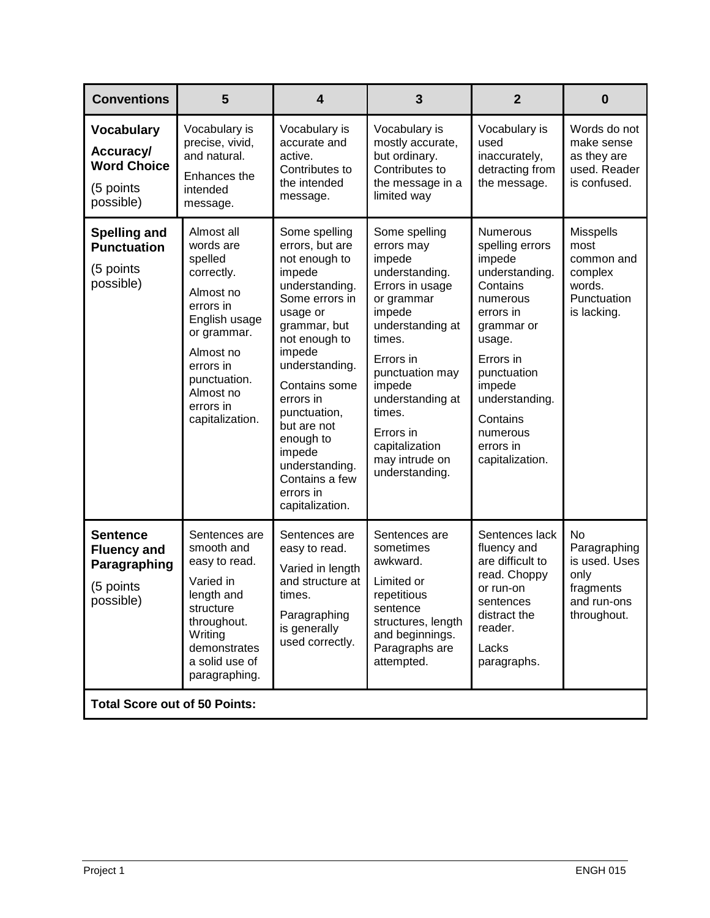| <b>Conventions</b>                                                              | 5                                                                                                                                                                                                 | $\overline{\mathbf{4}}$                                                                                                                                                                                                                                                                                                          | 3                                                                                                                                                                                                                                                                           | $\overline{2}$                                                                                                                                                                                                                              | $\bf{0}$                                                                                  |
|---------------------------------------------------------------------------------|---------------------------------------------------------------------------------------------------------------------------------------------------------------------------------------------------|----------------------------------------------------------------------------------------------------------------------------------------------------------------------------------------------------------------------------------------------------------------------------------------------------------------------------------|-----------------------------------------------------------------------------------------------------------------------------------------------------------------------------------------------------------------------------------------------------------------------------|---------------------------------------------------------------------------------------------------------------------------------------------------------------------------------------------------------------------------------------------|-------------------------------------------------------------------------------------------|
| <b>Vocabulary</b><br>Accuracy/<br><b>Word Choice</b><br>(5 points<br>possible)  | Vocabulary is<br>precise, vivid,<br>and natural.<br>Enhances the<br>intended<br>message.                                                                                                          | Vocabulary is<br>accurate and<br>active.<br>Contributes to<br>the intended<br>message.                                                                                                                                                                                                                                           | Vocabulary is<br>mostly accurate,<br>but ordinary.<br>Contributes to<br>the message in a<br>limited way                                                                                                                                                                     | Vocabulary is<br>used<br>inaccurately,<br>detracting from<br>the message.                                                                                                                                                                   | Words do not<br>make sense<br>as they are<br>used. Reader<br>is confused.                 |
| <b>Spelling and</b><br><b>Punctuation</b><br>(5 points<br>possible)             | Almost all<br>words are<br>spelled<br>correctly.<br>Almost no<br>errors in<br>English usage<br>or grammar.<br>Almost no<br>errors in<br>punctuation.<br>Almost no<br>errors in<br>capitalization. | Some spelling<br>errors, but are<br>not enough to<br>impede<br>understanding.<br>Some errors in<br>usage or<br>grammar, but<br>not enough to<br>impede<br>understanding.<br>Contains some<br>errors in<br>punctuation,<br>but are not<br>enough to<br>impede<br>understanding.<br>Contains a few<br>errors in<br>capitalization. | Some spelling<br>errors may<br>impede<br>understanding.<br>Errors in usage<br>or grammar<br>impede<br>understanding at<br>times.<br>Errors in<br>punctuation may<br>impede<br>understanding at<br>times.<br>Errors in<br>capitalization<br>may intrude on<br>understanding. | <b>Numerous</b><br>spelling errors<br>impede<br>understanding.<br>Contains<br>numerous<br>errors in<br>grammar or<br>usage.<br>Errors in<br>punctuation<br>impede<br>understanding.<br>Contains<br>numerous<br>errors in<br>capitalization. | <b>Misspells</b><br>most<br>common and<br>complex<br>words.<br>Punctuation<br>is lacking. |
| <b>Sentence</b><br><b>Fluency and</b><br>Paragraphing<br>(5 points<br>possible) | Sentences are<br>smooth and<br>easy to read.<br>Varied in<br>length and<br>structure<br>throughout.<br>Writing<br>demonstrates<br>a solid use of<br>paragraphing.                                 | Sentences are<br>easy to read.<br>Varied in length<br>and structure at<br>times.<br>Paragraphing<br>is generally<br>used correctly.                                                                                                                                                                                              | Sentences are<br>sometimes<br>awkward.<br>Limited or<br>repetitious<br>sentence<br>structures, length<br>and beginnings.<br>Paragraphs are<br>attempted.                                                                                                                    | Sentences lack<br>fluency and<br>are difficult to<br>read. Choppy<br>or run-on<br>sentences<br>distract the<br>reader.<br>Lacks<br>paragraphs.                                                                                              | No<br>Paragraphing<br>is used. Uses<br>only<br>fragments<br>and run-ons<br>throughout.    |
| <b>Total Score out of 50 Points:</b>                                            |                                                                                                                                                                                                   |                                                                                                                                                                                                                                                                                                                                  |                                                                                                                                                                                                                                                                             |                                                                                                                                                                                                                                             |                                                                                           |